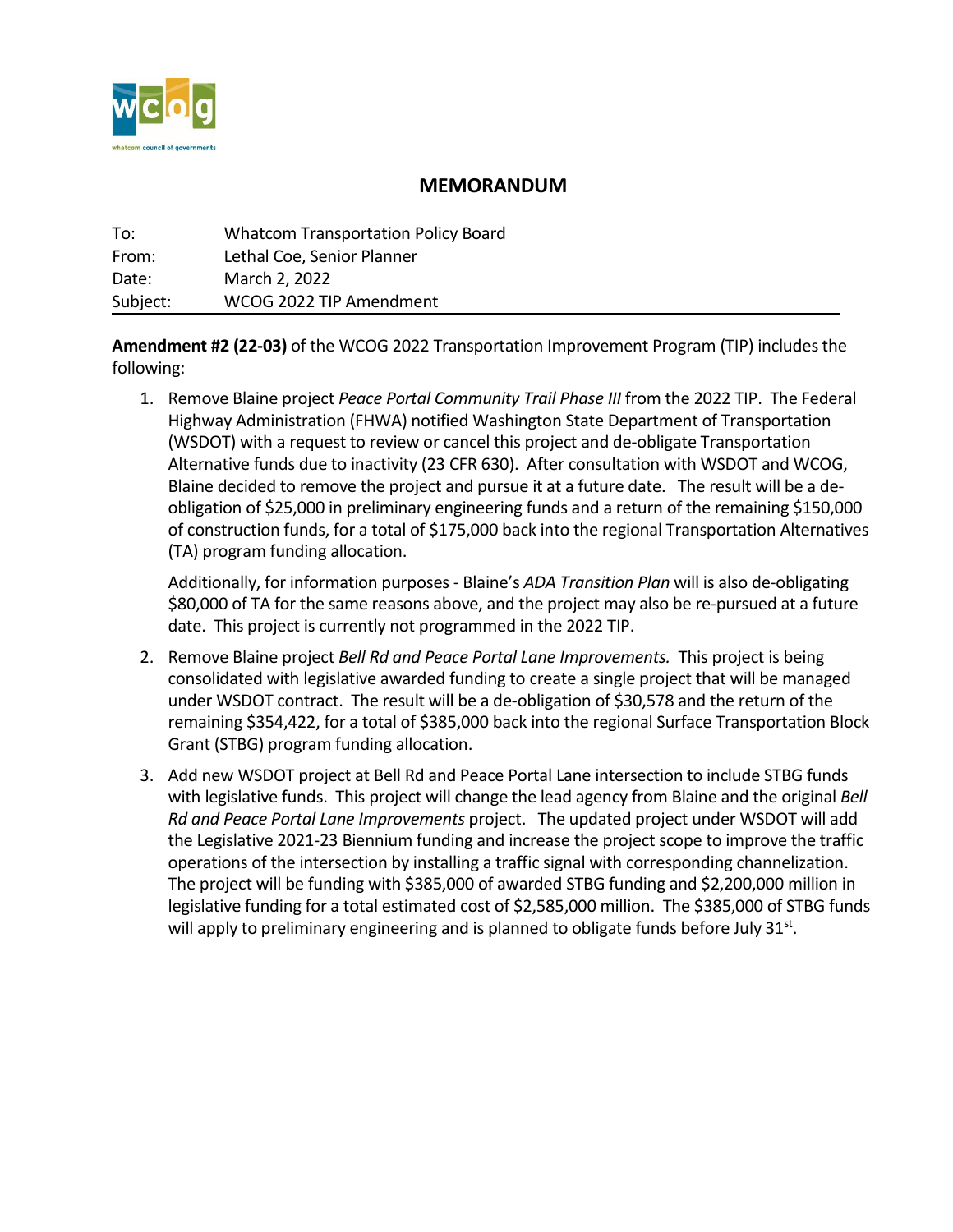

## **MEMORANDUM**

| To:      | <b>Whatcom Transportation Policy Board</b> |
|----------|--------------------------------------------|
| From:    | Lethal Coe, Senior Planner                 |
| Date:    | March 2, 2022                              |
| Subject: | WCOG 2022 TIP Amendment                    |
|          |                                            |

**Amendment #2 (22-03)** of the WCOG 2022 Transportation Improvement Program (TIP) includes the following:

1. Remove Blaine project *Peace Portal Community Trail Phase III* from the 2022 TIP. The Federal Highway Administration (FHWA) notified Washington State Department of Transportation (WSDOT) with a request to review or cancel this project and de-obligate Transportation Alternative funds due to inactivity (23 CFR 630). After consultation with WSDOT and WCOG, Blaine decided to remove the project and pursue it at a future date. The result will be a deobligation of \$25,000 in preliminary engineering funds and a return of the remaining \$150,000 of construction funds, for a total of \$175,000 back into the regional Transportation Alternatives (TA) program funding allocation.

Additionally, for information purposes - Blaine's *ADA Transition Plan* will is also de-obligating \$80,000 of TA for the same reasons above, and the project may also be re-pursued at a future date. This project is currently not programmed in the 2022 TIP.

- 2. Remove Blaine project *Bell Rd and Peace Portal Lane Improvements.* This project is being consolidated with legislative awarded funding to create a single project that will be managed under WSDOT contract. The result will be a de-obligation of \$30,578 and the return of the remaining \$354,422, for a total of \$385,000 back into the regional Surface Transportation Block Grant (STBG) program funding allocation.
- 3. Add new WSDOT project at Bell Rd and Peace Portal Lane intersection to include STBG funds with legislative funds. This project will change the lead agency from Blaine and the original *Bell Rd and Peace Portal Lane Improvements* project. The updated project under WSDOT will add the Legislative 2021-23 Biennium funding and increase the project scope to improve the traffic operations of the intersection by installing a traffic signal with corresponding channelization. The project will be funding with \$385,000 of awarded STBG funding and \$2,200,000 million in legislative funding for a total estimated cost of \$2,585,000 million. The \$385,000 of STBG funds will apply to preliminary engineering and is planned to obligate funds before July  $31^{st}$ .